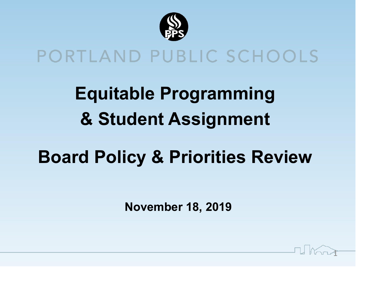

### PORTLAND PUBLIC SCHOOLS

**Equitable Programming & Student Assignment**

### **Board Policy & Priorities Review**

**November 18, 2019**

 $\mathbf{I}$ 

**Il Mont**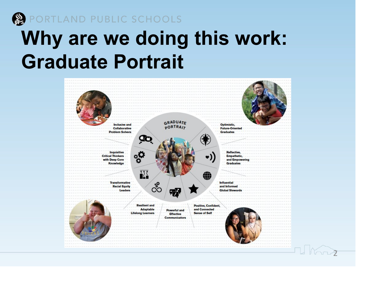

**PORTLAND PUBLIC SCHOOLS** 

## **Why are we doing this work: Graduate Portrait**

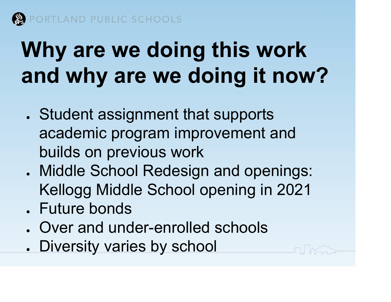

# **Why are we doing this work and why are we doing it now?**

- . Student assignment that supports academic program improvement and builds on previous work
- . Middle School Redesign and openings: Kellogg Middle School opening in 2021
- . Future bonds
- Over and under-enrolled schools
- . Diversity varies by school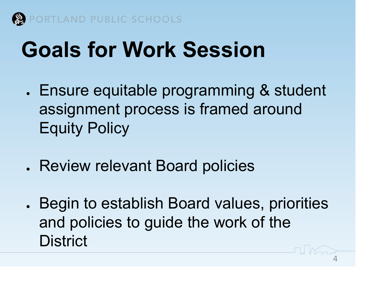

# **Goals for Work Session**

- Ensure equitable programming & student assignment process is framed around Equity Policy
- Review relevant Board policies
- Begin to establish Board values, priorities and policies to guide the work of the **District** And

4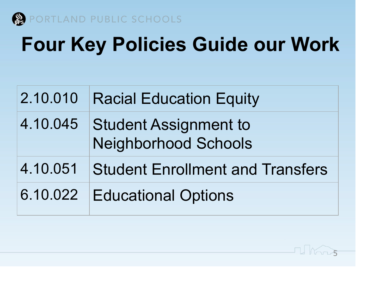

# **Four Key Policies Guide our Work**

| 2.10.010 | <b>Racial Education Equity</b>                       |
|----------|------------------------------------------------------|
| 4.10.045 | <b>Student Assignment to</b><br>Neighborhood Schools |
| 4.10.051 | <b>Student Enrollment and Transfers</b>              |
| 6.10.022 | <b>Educational Options</b>                           |

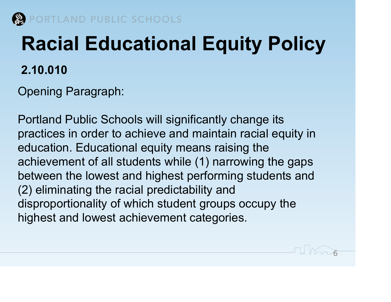

# **Racial Educational Equity Policy 2.10.010**

Opening Paragraph:

Portland Public Schools will significantly change its practices in order to achieve and maintain racial equity in education. Educational equity means raising the achievement of all students while (1) narrowing the gaps between the lowest and highest performing students and (2) eliminating the racial predictability and disproportionality of which student groups occupy the highest and lowest achievement categories.

FI Koro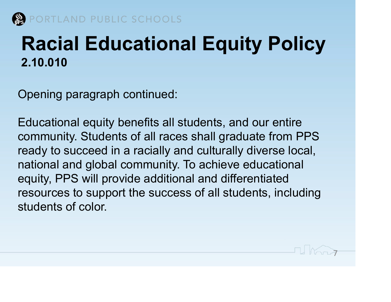

### **Racial Educational Equity Policy 2.10.010**

Opening paragraph continued:

Educational equity benefits all students, and our entire community. Students of all races shall graduate from PPS ready to succeed in a racially and culturally diverse local, national and global community. To achieve educational equity, PPS will provide additional and differentiated resources to support the success of all students, including students of color.

**7 Korry**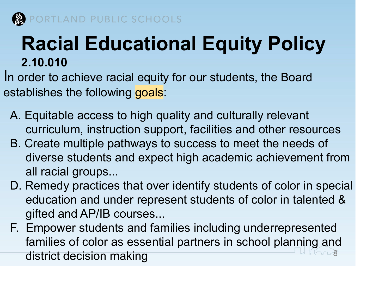

### **Racial Educational Equity Policy 2.10.010**

In order to achieve racial equity for our students, the Board establishes the following goals:

- A. Equitable access to high quality and culturally relevant curriculum, instruction support, facilities and other resources
- B. Create multiple pathways to success to meet the needs of diverse students and expect high academic achievement from all racial groups...
- D. Remedy practices that over identify students of color in special education and under represent students of color in talented & gifted and AP/IB courses...
- F. Empower students and families including underrepresented families of color as essential partners in school planning and district decision making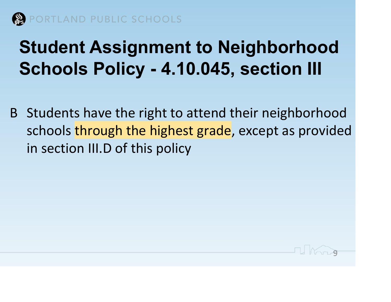

### **Student Assignment to Neighborhood Schools Policy - 4.10.045, section III**

B Students have the right to attend their neighborhood schools through the highest grade, except as provided in section III.D of this policy

1 Korro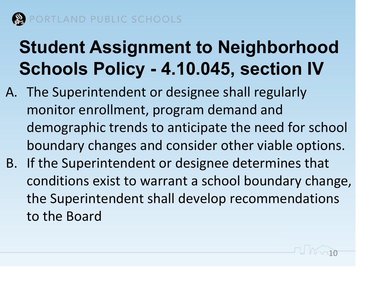

### **Student Assignment to Neighborhood Schools Policy - 4.10.045, section IV**

- A. The Superintendent or designee shall regularly monitor enrollment, program demand and demographic trends to anticipate the need for school boundary changes and consider other viable options.
- B. If the Superintendent or designee determines that conditions exist to warrant a school boundary change, the Superintendent shall develop recommendations to the Board

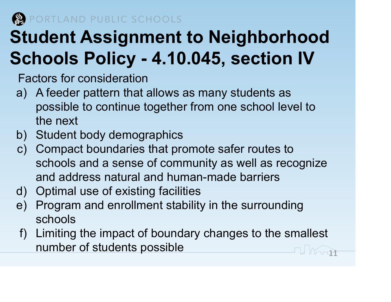TLAND PUBLIC SCHOOLS

## **Student Assignment to Neighborhood Schools Policy - 4.10.045, section IV**

Factors for consideration

- a) A feeder pattern that allows as many students as possible to continue together from one school level to the next
- b) Student body demographics
- c) Compact boundaries that promote safer routes to schools and a sense of community as well as recognize and address natural and human-made barriers
- d) Optimal use of existing facilities
- e) Program and enrollment stability in the surrounding schools
- f) Limiting the impact of boundary changes to the smallest number of students possible 111 and 111 and 111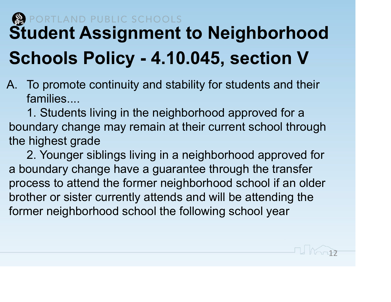### RTLAND PUBLIC SCHOOLS **Student Assignment to Neighborhood Schools Policy - 4.10.045, section V**

A. To promote continuity and stability for students and their families....

1. Students living in the neighborhood approved for a boundary change may remain at their current school through the highest grade

2. Younger siblings living in a neighborhood approved for a boundary change have a guarantee through the transfer process to attend the former neighborhood school if an older brother or sister currently attends and will be attending the former neighborhood school the following school year

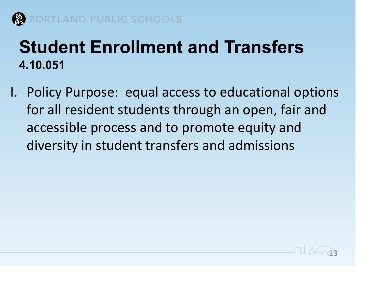

#### **Student Enrollment and Transfers 4.10.051**

I. Policy Purpose: equal access to educational options for all resident students through an open, fair and accessible process and to promote equity and diversity in student transfers and admissions

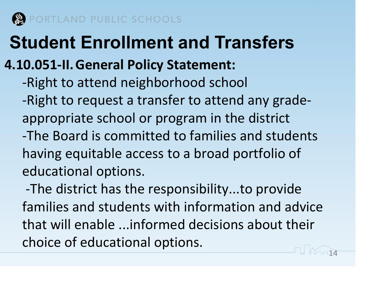

### **Student Enrollment and Transfers**

#### **4.10.051-II.General Policy Statement:**

-Right to attend neighborhood school -Right to request a transfer to attend any gradeappropriate school or program in the district -The Board is committed to families and students having equitable access to a broad portfolio of educational options.

 -The district has the responsibility...to provide families and students with information and advice that will enable ...informed decisions about their choice of educational options.

14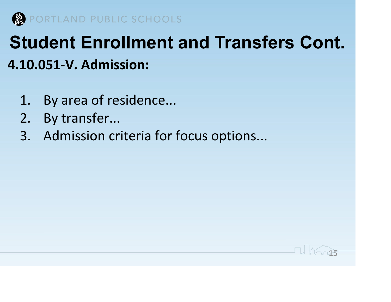

### **Student Enrollment and Transfers Cont. 4.10.051-V. Admission:**

15

- 1. By area of residence...
- 2. By transfer...
- 3. Admission criteria for focus options...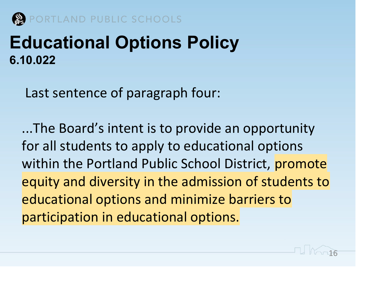

TLAND PUBLIC SCHOOLS

#### **Educational Options Policy 6.10.022**

Last sentence of paragraph four:

...The Board's intent is to provide an opportunity for all students to apply to educational options within the Portland Public School District, promote equity and diversity in the admission of students to educational options and minimize barriers to participation in educational options.

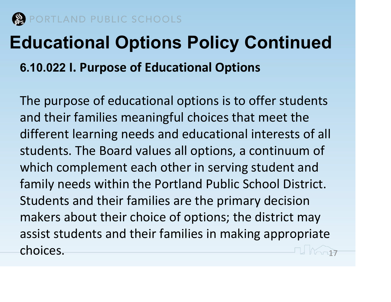

## **Educational Options Policy Continued 6.10.022 I. Purpose of Educational Options**

The purpose of educational options is to offer students and their families meaningful choices that meet the different learning needs and educational interests of all students. The Board values all options, a continuum of which complement each other in serving student and family needs within the Portland Public School District. Students and their families are the primary decision makers about their choice of options; the district may assist students and their families in making appropriate choices. The choices of the choices of the choices of the contract of the choices of the choice of the choice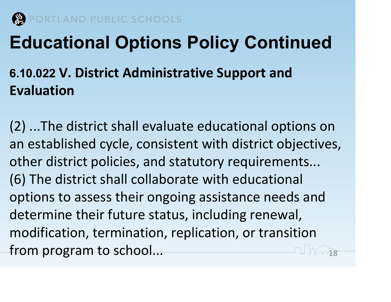

### **Educational Options Policy Continued**

#### **6.10.022 V. District Administrative Support and Evaluation**

(2) ...The district shall evaluate educational options on an established cycle, consistent with district objectives, other district policies, and statutory requirements... (6) The district shall collaborate with educational options to assess their ongoing assistance needs and determine their future status, including renewal, modification, termination, replication, or transition from program to school... The same of the set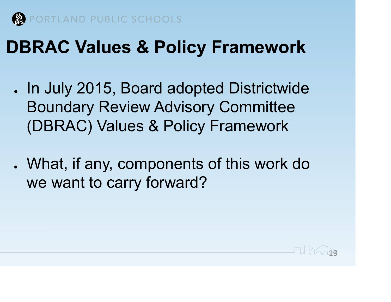

### **DBRAC Values & Policy Framework**

- In July 2015, Board adopted Districtwide Boundary Review Advisory Committee (DBRAC) Values & Policy Framework
- What, if any, components of this work do we want to carry forward?

19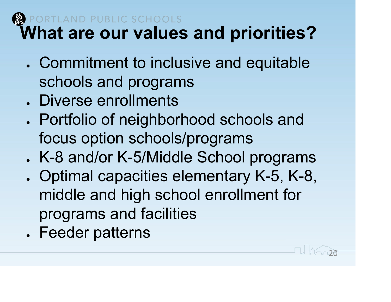#### **ND PUBLIC SCHOOLS What are our values and priorities?**

- . Commitment to inclusive and equitable schools and programs
- . Diverse enrollments
- Portfolio of neighborhood schools and focus option schools/programs . K-8 and/or K-5/Middle School programs
- Optimal capacities elementary K-5, K-8, middle and high school enrollment for programs and facilities

1000

. Feeder patterns